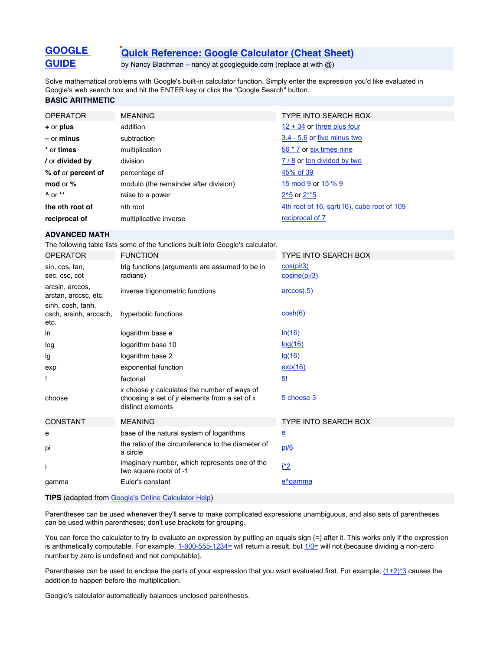# **[Quick Reference: Google Calculator \(Cheat Sheet\)](file:///calculator.html)**

by Nancy Blachman – nancy at googleguide.com (replace at with @)

Solve mathematical problems with Google's built-in calculator function. Simply enter the expression you'd like evaluated in Google's web search box and hit the ENTER key or click the "Google Search" button.

## **BASIC ARITHMETIC**

**[GOOGLE](http://www.googleguide.com/) [GUIDE](http://www.googleguide.com/)**

| <b>OPERATOR</b>         | <b>MEANING</b>                        | <b>TYPE INTO SEARCH BOX</b>                |
|-------------------------|---------------------------------------|--------------------------------------------|
| $+$ or plus             | addition                              | $12 + 34$ or three plus four               |
| $-$ or minus            | subtraction                           | 3.4 - 5.6 or five minus two                |
| * or times              | multiplication                        | 56 * 7 or six times nine                   |
| / or <b>divided by</b>  | division                              | 7/8 or ten divided by two                  |
| % of or percent of      | percentage of                         | 45% of 39                                  |
| mod or $%$              | modulo (the remainder after division) | 15 mod 9 or 15 % 9                         |
| $A$ or $**$             | raise to a power                      | $2^{\prime}5$ or $2^{\ast}5$               |
| the <i>n</i> th root of | nth root                              | 4th root of 16, sqrt(16), cube root of 109 |
| reciprocal of           | multiplicative inverse                | reciprocal of 7                            |

#### **ADVANCED MATH**

The following table lists some of the functions built into Google's calculator.

| <b>OPERATOR</b>                                     | <b>FUNCTION</b>                                                                                                      | <b>TYPE INTO SEARCH BOX</b> |
|-----------------------------------------------------|----------------------------------------------------------------------------------------------------------------------|-----------------------------|
| sin, cos, tan,<br>sec. csc. cot                     | trig functions (arguments are assumed to be in<br>radians)                                                           | cos(pi/3)<br>cosine(pi/3)   |
| arcsin, arccos,<br>arctan, arccsc, etc.             | inverse trigonometric functions                                                                                      | $\arccos(.5)$               |
| sinh, cosh, tanh,<br>csch, arsinh, arccsch,<br>etc. | hyperbolic functions                                                                                                 | cosh(6)                     |
| In                                                  | logarithm base e                                                                                                     | ln(16)                      |
| log                                                 | logarithm base 10                                                                                                    | log(16)                     |
| lg                                                  | logarithm base 2                                                                                                     | lg(16)                      |
| exp                                                 | exponential function                                                                                                 | exp(16)                     |
| Ţ                                                   | factorial                                                                                                            | <u>5!</u>                   |
| choose                                              | x choose y calculates the number of ways of<br>choosing a set of $y$ elements from a set of $x$<br>distinct elements | 5 choose 3                  |
| <b>CONSTANT</b>                                     | <b>MEANING</b>                                                                                                       | <b>TYPE INTO SEARCH BOX</b> |
| e                                                   | base of the natural system of logarithms                                                                             | $\overline{\mathbf{e}}$     |
| pi                                                  | the ratio of the circumference to the diameter of<br>a circle                                                        | pi/6                        |
|                                                     | imaginary number, which represents one of the<br>two square roots of -1                                              | <u>i^2</u>                  |
| gamma                                               | Euler's constant                                                                                                     | e <sup>^</sup> gamma        |
|                                                     |                                                                                                                      |                             |

**TIPS** (adapted from [Google's Online Calculator Help](http://www.google.com/help/calculator.html))

Parentheses can be used whenever they'll serve to make complicated expressions unambiguous, and also sets of parentheses can be used within parentheses; don't use brackets for grouping.

You can force the calculator to try to evaluate an expression by putting an equals sign (=) after it. This works only if the expression is arithmetically computable. For example, [1-800-555-1234=](http://www.google.com/search?q=1-800-555-1234=) will return a result, but [1/0=](http://www.google.com/search?q=1/0=) will not (because dividing a non-zero number by zero is undefined and not computable).

Parentheses can be used to enclose the parts of your expression that you want evaluated first. For example,  $(1+2)^*3$  causes the addition to happen before the multiplication.

Google's calculator automatically balances unclosed parentheses.